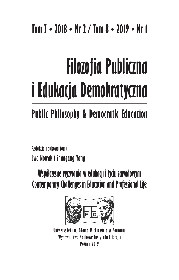## **Tom 7 • 2018 • Nr 2 / Tom 8 • 2019 • Nr 1**

# **Filozofia Publiczna i Edukacja Demokratyczna**

# **Public Philosophy & Democratic Education**

**Redakcja naukowa tomu Ewa Nowak i Shaogang Yang**

**Współczesne wyzwania w edukacji i życiu zawodowym Contemporary Challenges in Education and Professional Life**



**Uniwersytet im. Adama Mickiewicza w Poznaniu Wydawnictwo Naukowe Instytutu Filozofii Poznań 2019**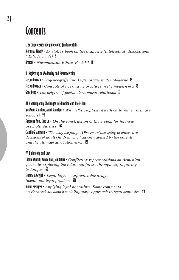### **Contents**

#### **I. Ex corpore scientiae philosophici fundamentalis**

**Marian A. Wesoły •** *Aristotle's book on the dianoetic (intellectual) dispositions ("Eth. Nic." VI)* **6 Aristotle •** *Nicomachean Ethics. Book VI* **18**

#### **II. Reflecting on Modernity and Postmodernity**

**Steffen Dietzsch •** *Lügenbegriffe und Lügenpraxis in der Moderne* **38 Steffen Dietzsch •** *Concepts of lies and lie practices in the modern era* **58 Gang Deng •** *The origins of postmodern moral relativism* **77**

#### **III. Contemporary Challenges in Education and Professions**

**Iga Maria Schmiljun, André Schmiljun •** *Why "Philosophizing with children" in primary schools?* **96**

**Shaogang Yang, Zhuo Liu •** *On the construction of the system for forensic psycholinguistics* **109**

**Claudia G. Ammann •** *'The way we judge'. Observers' assessing of elder care decisions of adult children who had been abused by the parents and the ultimate attribution error* **128**

#### **IV. Philosophy and Law**

**Cătălin Mamali, Mircea Kivu, Jan Kutnik •** *Conflicting representations on Armenian genocide: exploring the relational future through self-inquiring technique* **168**

**Sebastian Matyjek •** *Legal highs – unpredictable drugs. Social and legal problem* **251**

**Marcin Pieniążek •** *Applying legal narratives. Some comments on Bernard Jackson's sociolinguistic approach in legal semiotics* **274**